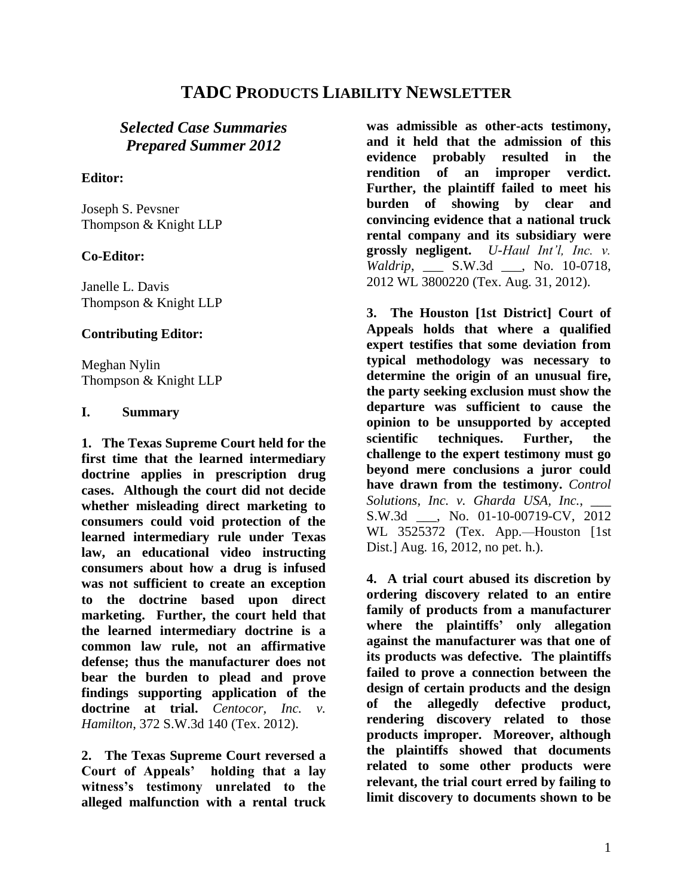# **TADC PRODUCTS LIABILITY NEWSLETTER**

# *Selected Case Summaries Prepared Summer 2012*

## **Editor:**

Joseph S. Pevsner Thompson & Knight LLP

# **Co-Editor:**

Janelle L. Davis Thompson & Knight LLP

#### **Contributing Editor:**

Meghan Nylin Thompson & Knight LLP

### **I. Summary**

**1. The Texas Supreme Court held for the first time that the learned intermediary doctrine applies in prescription drug cases. Although the court did not decide whether misleading direct marketing to consumers could void protection of the learned intermediary rule under Texas law, an educational video instructing consumers about how a drug is infused was not sufficient to create an exception to the doctrine based upon direct marketing. Further, the court held that the learned intermediary doctrine is a common law rule, not an affirmative defense; thus the manufacturer does not bear the burden to plead and prove findings supporting application of the doctrine at trial.** *Centocor, Inc. v. Hamilton*, 372 S.W.3d 140 (Tex. 2012).

**2. The Texas Supreme Court reversed a Court of Appeals' holding that a lay witness's testimony unrelated to the alleged malfunction with a rental truck** 

**was admissible as other-acts testimony, and it held that the admission of this evidence probably resulted in the rendition of an improper verdict. Further, the plaintiff failed to meet his burden of showing by clear and convincing evidence that a national truck rental company and its subsidiary were grossly negligent.** *U-Haul Int'l, Inc. v. Waldrip*, \_\_\_ S.W.3d \_\_\_, No. 10-0718, 2012 WL 3800220 (Tex. Aug. 31, 2012).

**3. The Houston [1st District] Court of Appeals holds that where a qualified expert testifies that some deviation from typical methodology was necessary to determine the origin of an unusual fire, the party seeking exclusion must show the departure was sufficient to cause the opinion to be unsupported by accepted scientific techniques. Further, the challenge to the expert testimony must go beyond mere conclusions a juror could have drawn from the testimony.** *Control Solutions, Inc. v. Gharda USA, Inc.*, \_\_\_ S.W.3d . No. 01-10-00719-CV, 2012 WL 3525372 (Tex. App.—Houston [1st Dist.] Aug. 16, 2012, no pet. h.).

**4. A trial court abused its discretion by ordering discovery related to an entire family of products from a manufacturer where the plaintiffs' only allegation against the manufacturer was that one of its products was defective. The plaintiffs failed to prove a connection between the design of certain products and the design of the allegedly defective product, rendering discovery related to those products improper. Moreover, although the plaintiffs showed that documents related to some other products were relevant, the trial court erred by failing to limit discovery to documents shown to be**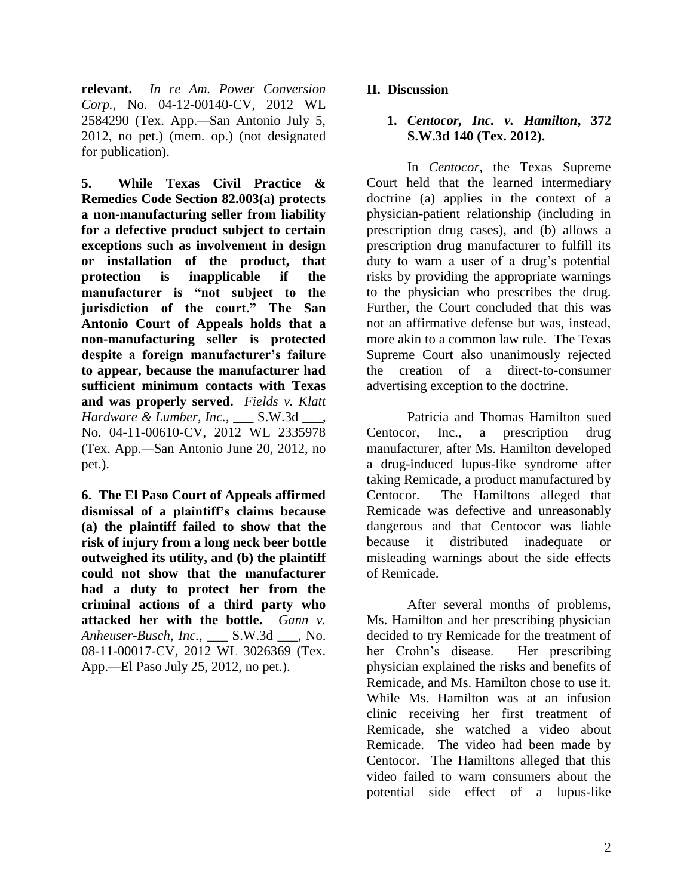**relevant.** *In re Am. Power Conversion Corp.*, No. 04-12-00140-CV, 2012 WL 2584290 (Tex. App.—San Antonio July 5, 2012, no pet.) (mem. op.) (not designated for publication).

**5. While Texas Civil Practice & Remedies Code Section 82.003(a) protects a non-manufacturing seller from liability for a defective product subject to certain exceptions such as involvement in design or installation of the product, that protection is inapplicable if the manufacturer is "not subject to the jurisdiction of the court." The San Antonio Court of Appeals holds that a non-manufacturing seller is protected despite a foreign manufacturer's failure to appear, because the manufacturer had sufficient minimum contacts with Texas and was properly served.** *Fields v. Klatt Hardware & Lumber, Inc.*, S.W.3d., No. 04-11-00610-CV, 2012 WL 2335978 (Tex. App.—San Antonio June 20, 2012, no pet.).

**6. The El Paso Court of Appeals affirmed dismissal of a plaintiff's claims because (a) the plaintiff failed to show that the risk of injury from a long neck beer bottle outweighed its utility, and (b) the plaintiff could not show that the manufacturer had a duty to protect her from the criminal actions of a third party who attacked her with the bottle.** *Gann v. Anheuser-Busch, Inc.*, \_\_\_ S.W.3d \_\_\_, No. 08-11-00017-CV, 2012 WL 3026369 (Tex. App.—El Paso July 25, 2012, no pet.).

# **II. Discussion**

## **1.** *Centocor, Inc. v. Hamilton***, 372 S.W.3d 140 (Tex. 2012).**

In *Centocor*, the Texas Supreme Court held that the learned intermediary doctrine (a) applies in the context of a physician-patient relationship (including in prescription drug cases), and (b) allows a prescription drug manufacturer to fulfill its duty to warn a user of a drug's potential risks by providing the appropriate warnings to the physician who prescribes the drug. Further, the Court concluded that this was not an affirmative defense but was, instead, more akin to a common law rule. The Texas Supreme Court also unanimously rejected the creation of a direct-to-consumer advertising exception to the doctrine.

Patricia and Thomas Hamilton sued Centocor, Inc., a prescription drug manufacturer, after Ms. Hamilton developed a drug-induced lupus-like syndrome after taking Remicade, a product manufactured by Centocor. The Hamiltons alleged that Remicade was defective and unreasonably dangerous and that Centocor was liable because it distributed inadequate or misleading warnings about the side effects of Remicade.

After several months of problems, Ms. Hamilton and her prescribing physician decided to try Remicade for the treatment of her Crohn"s disease. Her prescribing physician explained the risks and benefits of Remicade, and Ms. Hamilton chose to use it. While Ms. Hamilton was at an infusion clinic receiving her first treatment of Remicade, she watched a video about Remicade. The video had been made by Centocor. The Hamiltons alleged that this video failed to warn consumers about the potential side effect of a lupus-like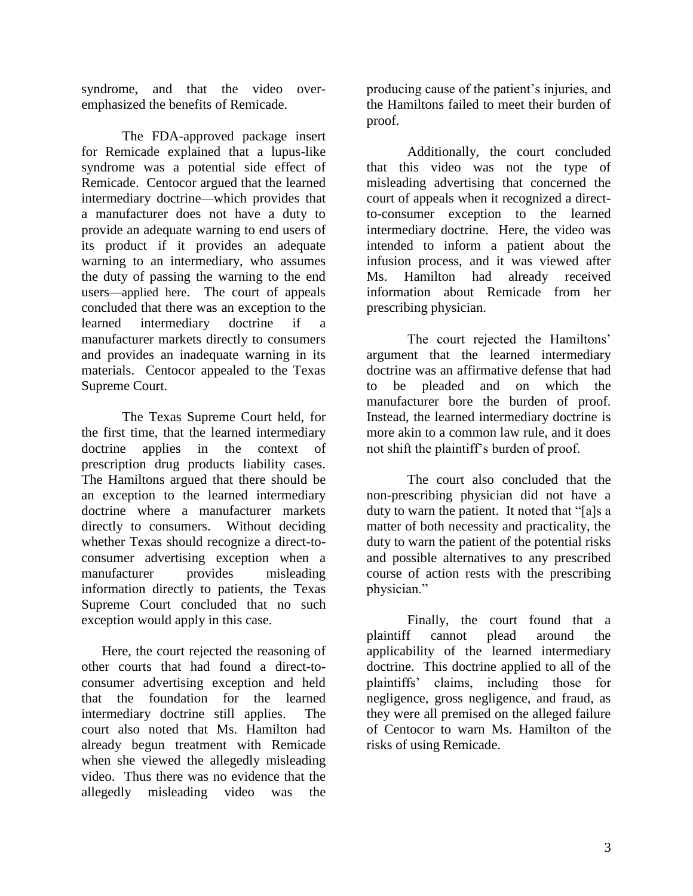syndrome, and that the video overemphasized the benefits of Remicade.

The FDA-approved package insert for Remicade explained that a lupus-like syndrome was a potential side effect of Remicade. Centocor argued that the learned intermediary doctrine—which provides that a manufacturer does not have a duty to provide an adequate warning to end users of its product if it provides an adequate warning to an intermediary, who assumes the duty of passing the warning to the end users—applied here. The court of appeals concluded that there was an exception to the learned intermediary doctrine if a manufacturer markets directly to consumers and provides an inadequate warning in its materials. Centocor appealed to the Texas Supreme Court.

The Texas Supreme Court held, for the first time, that the learned intermediary doctrine applies in the context of prescription drug products liability cases. The Hamiltons argued that there should be an exception to the learned intermediary doctrine where a manufacturer markets directly to consumers. Without deciding whether Texas should recognize a direct-toconsumer advertising exception when a manufacturer provides misleading information directly to patients, the Texas Supreme Court concluded that no such exception would apply in this case.

Here, the court rejected the reasoning of other courts that had found a direct-toconsumer advertising exception and held that the foundation for the learned intermediary doctrine still applies. The court also noted that Ms. Hamilton had already begun treatment with Remicade when she viewed the allegedly misleading video. Thus there was no evidence that the allegedly misleading video was the

producing cause of the patient"s injuries, and the Hamiltons failed to meet their burden of proof.

Additionally, the court concluded that this video was not the type of misleading advertising that concerned the court of appeals when it recognized a directto-consumer exception to the learned intermediary doctrine. Here, the video was intended to inform a patient about the infusion process, and it was viewed after Ms. Hamilton had already received information about Remicade from her prescribing physician.

The court rejected the Hamiltons' argument that the learned intermediary doctrine was an affirmative defense that had to be pleaded and on which the manufacturer bore the burden of proof. Instead, the learned intermediary doctrine is more akin to a common law rule, and it does not shift the plaintiff"s burden of proof.

The court also concluded that the non-prescribing physician did not have a duty to warn the patient. It noted that "[a]s a matter of both necessity and practicality, the duty to warn the patient of the potential risks and possible alternatives to any prescribed course of action rests with the prescribing physician."

Finally, the court found that a plaintiff cannot plead around the applicability of the learned intermediary doctrine. This doctrine applied to all of the plaintiffs" claims, including those for negligence, gross negligence, and fraud, as they were all premised on the alleged failure of Centocor to warn Ms. Hamilton of the risks of using Remicade.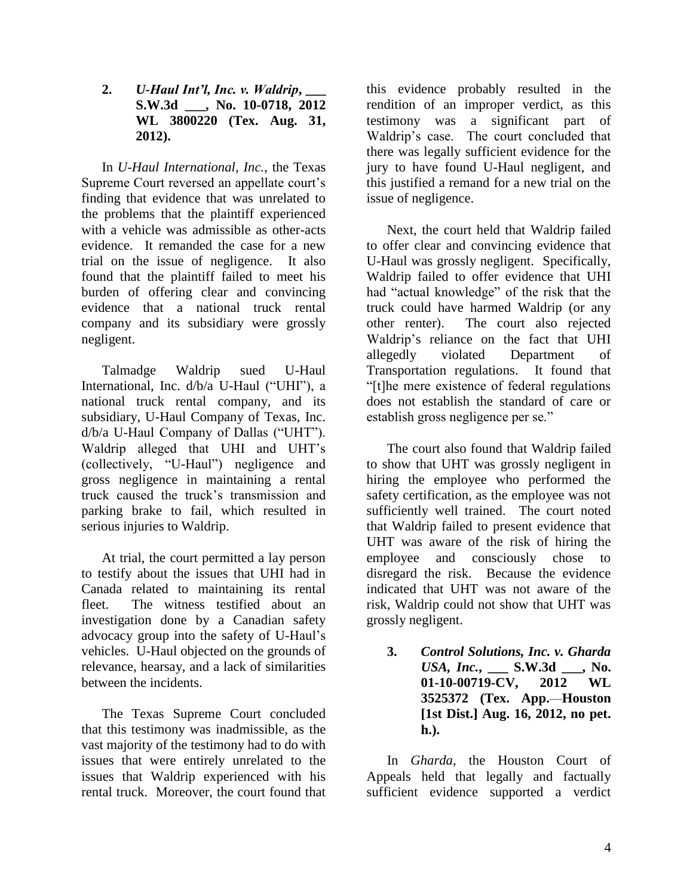**2.** *U-Haul Int'l, Inc. v. Waldrip***, \_\_\_ S.W.3d \_\_\_, No. 10-0718, 2012 WL 3800220 (Tex. Aug. 31, 2012).**

In *U-Haul International, Inc.*, the Texas Supreme Court reversed an appellate court's finding that evidence that was unrelated to the problems that the plaintiff experienced with a vehicle was admissible as other-acts evidence. It remanded the case for a new trial on the issue of negligence. It also found that the plaintiff failed to meet his burden of offering clear and convincing evidence that a national truck rental company and its subsidiary were grossly negligent.

Talmadge Waldrip sued U-Haul International, Inc. d/b/a U-Haul ("UHI"), a national truck rental company, and its subsidiary, U-Haul Company of Texas, Inc. d/b/a U-Haul Company of Dallas ("UHT"). Waldrip alleged that UHI and UHT"s (collectively, "U-Haul") negligence and gross negligence in maintaining a rental truck caused the truck"s transmission and parking brake to fail, which resulted in serious injuries to Waldrip.

At trial, the court permitted a lay person to testify about the issues that UHI had in Canada related to maintaining its rental fleet. The witness testified about an investigation done by a Canadian safety advocacy group into the safety of U-Haul"s vehicles. U-Haul objected on the grounds of relevance, hearsay, and a lack of similarities between the incidents.

The Texas Supreme Court concluded that this testimony was inadmissible, as the vast majority of the testimony had to do with issues that were entirely unrelated to the issues that Waldrip experienced with his rental truck. Moreover, the court found that

this evidence probably resulted in the rendition of an improper verdict, as this testimony was a significant part of Waldrip"s case. The court concluded that there was legally sufficient evidence for the jury to have found U-Haul negligent, and this justified a remand for a new trial on the issue of negligence.

Next, the court held that Waldrip failed to offer clear and convincing evidence that U-Haul was grossly negligent. Specifically, Waldrip failed to offer evidence that UHI had "actual knowledge" of the risk that the truck could have harmed Waldrip (or any other renter). The court also rejected Waldrip"s reliance on the fact that UHI allegedly violated Department of Transportation regulations. It found that "[t]he mere existence of federal regulations does not establish the standard of care or establish gross negligence per se."

The court also found that Waldrip failed to show that UHT was grossly negligent in hiring the employee who performed the safety certification, as the employee was not sufficiently well trained. The court noted that Waldrip failed to present evidence that UHT was aware of the risk of hiring the employee and consciously chose to disregard the risk. Because the evidence indicated that UHT was not aware of the risk, Waldrip could not show that UHT was grossly negligent.

**3.** *Control Solutions, Inc. v. Gharda USA, Inc.***, \_\_\_ S.W.3d \_\_\_, No. 01-10-00719-CV, 2012 WL 3525372 (Tex. App.**—**Houston [1st Dist.] Aug. 16, 2012, no pet. h.).**

In *Gharda*, the Houston Court of Appeals held that legally and factually sufficient evidence supported a verdict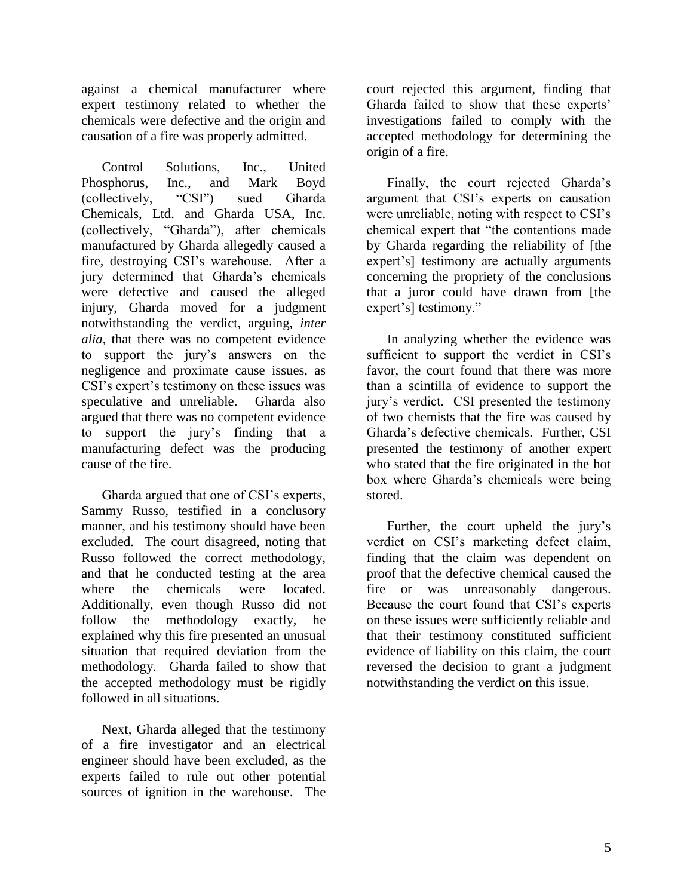against a chemical manufacturer where expert testimony related to whether the chemicals were defective and the origin and causation of a fire was properly admitted.

Control Solutions, Inc., United Phosphorus, Inc., and Mark Boyd (collectively, "CSI") sued Gharda Chemicals, Ltd. and Gharda USA, Inc. (collectively, "Gharda"), after chemicals manufactured by Gharda allegedly caused a fire, destroying CSI"s warehouse. After a jury determined that Gharda"s chemicals were defective and caused the alleged injury, Gharda moved for a judgment notwithstanding the verdict, arguing, *inter alia*, that there was no competent evidence to support the jury"s answers on the negligence and proximate cause issues, as CSI"s expert"s testimony on these issues was speculative and unreliable. Gharda also argued that there was no competent evidence to support the jury"s finding that a manufacturing defect was the producing cause of the fire.

Gharda argued that one of CSI"s experts, Sammy Russo, testified in a conclusory manner, and his testimony should have been excluded. The court disagreed, noting that Russo followed the correct methodology, and that he conducted testing at the area where the chemicals were located. Additionally, even though Russo did not follow the methodology exactly, he explained why this fire presented an unusual situation that required deviation from the methodology. Gharda failed to show that the accepted methodology must be rigidly followed in all situations.

Next, Gharda alleged that the testimony of a fire investigator and an electrical engineer should have been excluded, as the experts failed to rule out other potential sources of ignition in the warehouse. The

court rejected this argument, finding that Gharda failed to show that these experts' investigations failed to comply with the accepted methodology for determining the origin of a fire.

Finally, the court rejected Gharda"s argument that CSI"s experts on causation were unreliable, noting with respect to CSI"s chemical expert that "the contentions made by Gharda regarding the reliability of [the expert's] testimony are actually arguments concerning the propriety of the conclusions that a juror could have drawn from [the expert's] testimony."

In analyzing whether the evidence was sufficient to support the verdict in CSI's favor, the court found that there was more than a scintilla of evidence to support the jury"s verdict. CSI presented the testimony of two chemists that the fire was caused by Gharda"s defective chemicals. Further, CSI presented the testimony of another expert who stated that the fire originated in the hot box where Gharda"s chemicals were being stored.

Further, the court upheld the jury's verdict on CSI"s marketing defect claim, finding that the claim was dependent on proof that the defective chemical caused the fire or was unreasonably dangerous. Because the court found that CSI"s experts on these issues were sufficiently reliable and that their testimony constituted sufficient evidence of liability on this claim, the court reversed the decision to grant a judgment notwithstanding the verdict on this issue.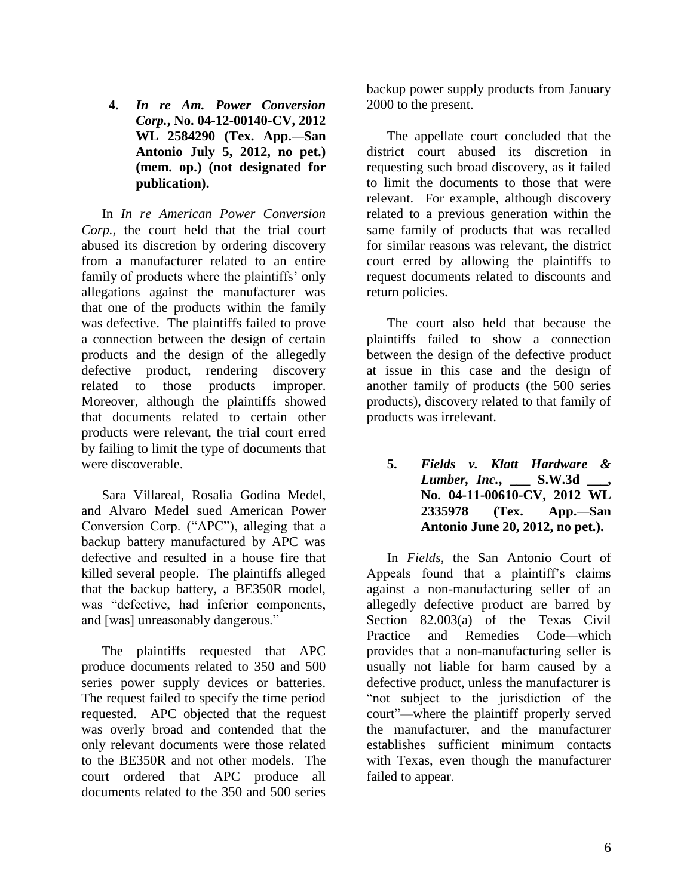**4.** *In re Am. Power Conversion Corp.***, No. 04-12-00140-CV, 2012 WL 2584290 (Tex. App.**—**San Antonio July 5, 2012, no pet.) (mem. op.) (not designated for publication).**

In *In re American Power Conversion Corp.*, the court held that the trial court abused its discretion by ordering discovery from a manufacturer related to an entire family of products where the plaintiffs' only allegations against the manufacturer was that one of the products within the family was defective. The plaintiffs failed to prove a connection between the design of certain products and the design of the allegedly defective product, rendering discovery related to those products improper. Moreover, although the plaintiffs showed that documents related to certain other products were relevant, the trial court erred by failing to limit the type of documents that were discoverable.

Sara Villareal, Rosalia Godina Medel, and Alvaro Medel sued American Power Conversion Corp. ("APC"), alleging that a backup battery manufactured by APC was defective and resulted in a house fire that killed several people. The plaintiffs alleged that the backup battery, a BE350R model, was "defective, had inferior components, and [was] unreasonably dangerous."

The plaintiffs requested that APC produce documents related to 350 and 500 series power supply devices or batteries. The request failed to specify the time period requested. APC objected that the request was overly broad and contended that the only relevant documents were those related to the BE350R and not other models. The court ordered that APC produce all documents related to the 350 and 500 series

backup power supply products from January 2000 to the present.

The appellate court concluded that the district court abused its discretion in requesting such broad discovery, as it failed to limit the documents to those that were relevant. For example, although discovery related to a previous generation within the same family of products that was recalled for similar reasons was relevant, the district court erred by allowing the plaintiffs to request documents related to discounts and return policies.

The court also held that because the plaintiffs failed to show a connection between the design of the defective product at issue in this case and the design of another family of products (the 500 series products), discovery related to that family of products was irrelevant.

**5.** *Fields v. Klatt Hardware & Lumber, Inc.*, **S.W.3d No. 04-11-00610-CV, 2012 WL 2335978 (Tex. App.**—**San Antonio June 20, 2012, no pet.).**

In *Fields*, the San Antonio Court of Appeals found that a plaintiff"s claims against a non-manufacturing seller of an allegedly defective product are barred by Section 82.003(a) of the Texas Civil Practice and Remedies Code—which provides that a non-manufacturing seller is usually not liable for harm caused by a defective product, unless the manufacturer is "not subject to the jurisdiction of the court"—where the plaintiff properly served the manufacturer, and the manufacturer establishes sufficient minimum contacts with Texas, even though the manufacturer failed to appear.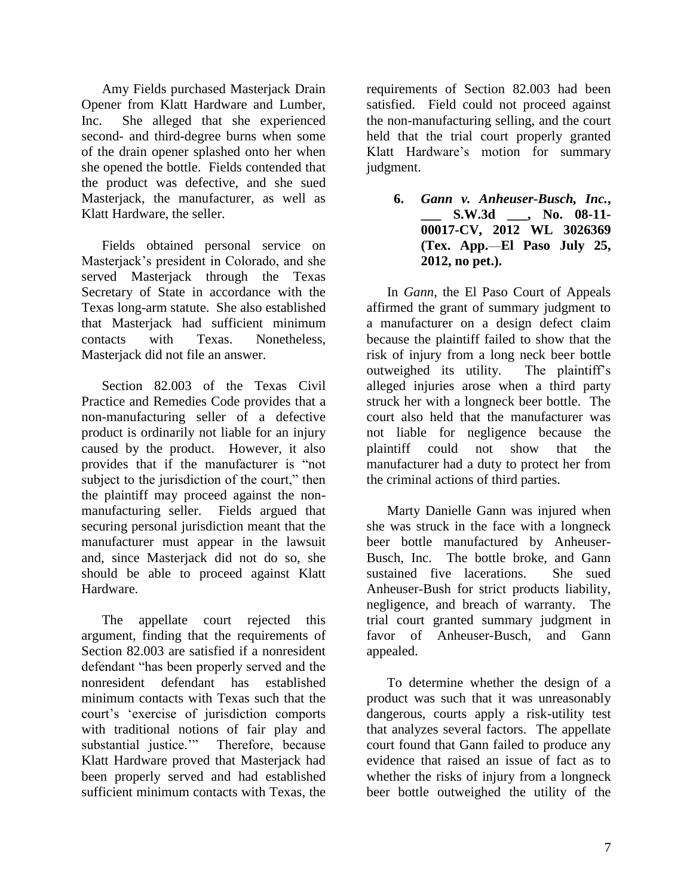Amy Fields purchased Masterjack Drain Opener from Klatt Hardware and Lumber, Inc. She alleged that she experienced second- and third-degree burns when some of the drain opener splashed onto her when she opened the bottle. Fields contended that the product was defective, and she sued Masterjack, the manufacturer, as well as Klatt Hardware, the seller.

Fields obtained personal service on Masterjack"s president in Colorado, and she served Masterjack through the Texas Secretary of State in accordance with the Texas long-arm statute. She also established that Masterjack had sufficient minimum contacts with Texas. Nonetheless, Masterjack did not file an answer.

Section 82.003 of the Texas Civil Practice and Remedies Code provides that a non-manufacturing seller of a defective product is ordinarily not liable for an injury caused by the product. However, it also provides that if the manufacturer is "not subject to the jurisdiction of the court," then the plaintiff may proceed against the nonmanufacturing seller. Fields argued that securing personal jurisdiction meant that the manufacturer must appear in the lawsuit and, since Masterjack did not do so, she should be able to proceed against Klatt Hardware.

The appellate court rejected this argument, finding that the requirements of Section 82.003 are satisfied if a nonresident defendant "has been properly served and the nonresident defendant has established minimum contacts with Texas such that the court's 'exercise of jurisdiction comports with traditional notions of fair play and substantial justice."" Therefore, because Klatt Hardware proved that Masterjack had been properly served and had established sufficient minimum contacts with Texas, the

requirements of Section 82.003 had been satisfied. Field could not proceed against the non-manufacturing selling, and the court held that the trial court properly granted Klatt Hardware"s motion for summary judgment.

> **6.** *Gann v. Anheuser-Busch, Inc.***, \_\_\_ S.W.3d \_\_\_, No. 08-11- 00017-CV, 2012 WL 3026369 (Tex. App.**—**El Paso July 25, 2012, no pet.).**

In *Gann*, the El Paso Court of Appeals affirmed the grant of summary judgment to a manufacturer on a design defect claim because the plaintiff failed to show that the risk of injury from a long neck beer bottle outweighed its utility. The plaintiff"s alleged injuries arose when a third party struck her with a longneck beer bottle. The court also held that the manufacturer was not liable for negligence because the plaintiff could not show that the manufacturer had a duty to protect her from the criminal actions of third parties.

Marty Danielle Gann was injured when she was struck in the face with a longneck beer bottle manufactured by Anheuser-Busch, Inc. The bottle broke, and Gann sustained five lacerations. She sued Anheuser-Bush for strict products liability, negligence, and breach of warranty. The trial court granted summary judgment in favor of Anheuser-Busch, and Gann appealed.

To determine whether the design of a product was such that it was unreasonably dangerous, courts apply a risk-utility test that analyzes several factors. The appellate court found that Gann failed to produce any evidence that raised an issue of fact as to whether the risks of injury from a longneck beer bottle outweighed the utility of the